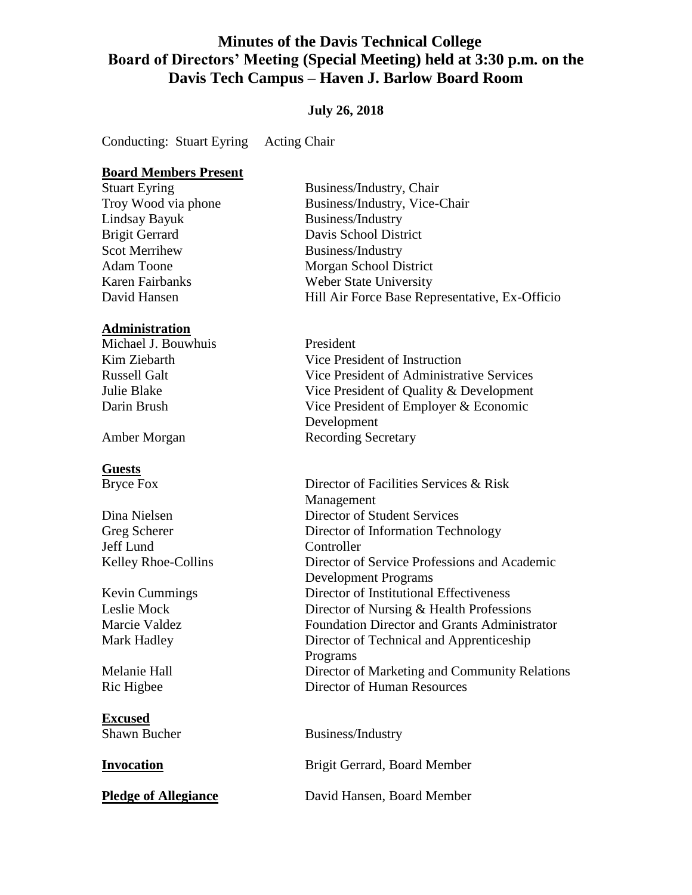# **Minutes of the Davis Technical College Board of Directors' Meeting (Special Meeting) held at 3:30 p.m. on the Davis Tech Campus – Haven J. Barlow Board Room**

### **July 26, 2018**

Conducting: Stuart Eyring Acting Chair

#### **Board Members Present**

Lindsay Bayuk Business/Industry Scot Merrihew Business/Industry

#### **Administration**

Michael J. Bouwhuis President

#### **Guests**

Jeff Lund Controller

**Excused**

Stuart Eyring Business/Industry, Chair Troy Wood via phone Business/Industry, Vice-Chair Brigit Gerrard Davis School District Adam Toone Morgan School District Karen Fairbanks Weber State University David Hansen **Hill Air Force Base Representative, Ex-Officio** 

Kim Ziebarth Vice President of Instruction Russell Galt Vice President of Administrative Services Julie Blake Vice President of Quality & Development Darin Brush Vice President of Employer & Economic Development Amber Morgan Recording Secretary

Bryce Fox Director of Facilities Services & Risk Management Dina Nielsen Director of Student Services Greg Scherer Director of Information Technology Kelley Rhoe-Collins Director of Service Professions and Academic Development Programs Kevin Cummings Director of Institutional Effectiveness Leslie Mock Director of Nursing & Health Professions Marcie Valdez Foundation Director and Grants Administrator Mark Hadley Director of Technical and Apprenticeship Programs Melanie Hall Director of Marketing and Community Relations Ric Higbee Director of Human Resources

Shawn Bucher Business/Industry

**Invocation** Brigit Gerrard, Board Member

**Pledge of Allegiance** David Hansen, Board Member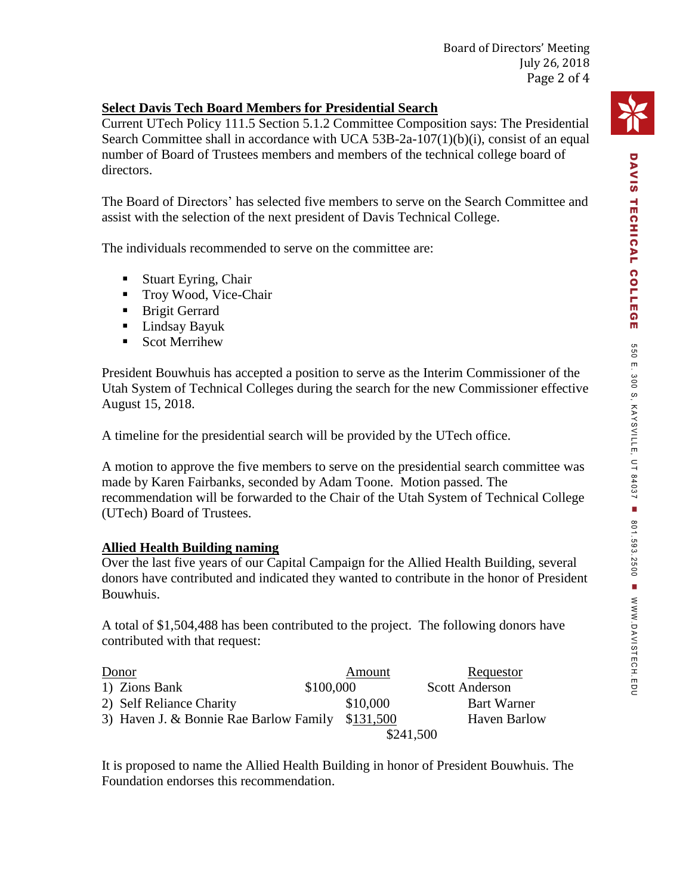# **Select Davis Tech Board Members for Presidential Search**

Current UTech Policy 111.5 Section 5.1.2 Committee Composition says: The Presidential Search Committee shall in accordance with UCA 53B-2a-107(1)(b)(i), consist of an equal number of Board of Trustees members and members of the technical college board of directors.

The Board of Directors' has selected five members to serve on the Search Committee and assist with the selection of the next president of Davis Technical College.

The individuals recommended to serve on the committee are:

- Stuart Eyring, Chair
- Troy Wood, Vice-Chair
- **Brigit Gerrard**
- Lindsay Bayuk
- Scot Merrihew

President Bouwhuis has accepted a position to serve as the Interim Commissioner of the Utah System of Technical Colleges during the search for the new Commissioner effective August 15, 2018.

A timeline for the presidential search will be provided by the UTech office.

A motion to approve the five members to serve on the presidential search committee was made by Karen Fairbanks, seconded by Adam Toone. Motion passed. The recommendation will be forwarded to the Chair of the Utah System of Technical College (UTech) Board of Trustees.

# **Allied Health Building naming**

Over the last five years of our Capital Campaign for the Allied Health Building, several donors have contributed and indicated they wanted to contribute in the honor of President Bouwhuis.

A total of \$1,504,488 has been contributed to the project. The following donors have contributed with that request:

| Donor                                            | Amount    | Requestor             |
|--------------------------------------------------|-----------|-----------------------|
| 1) Zions Bank                                    | \$100,000 | <b>Scott Anderson</b> |
| 2) Self Reliance Charity                         | \$10,000  | Bart Warner           |
| 3) Haven J. & Bonnie Rae Barlow Family \$131,500 |           | <b>Haven Barlow</b>   |
|                                                  | \$241,500 |                       |

It is proposed to name the Allied Health Building in honor of President Bouwhuis. The Foundation endorses this recommendation.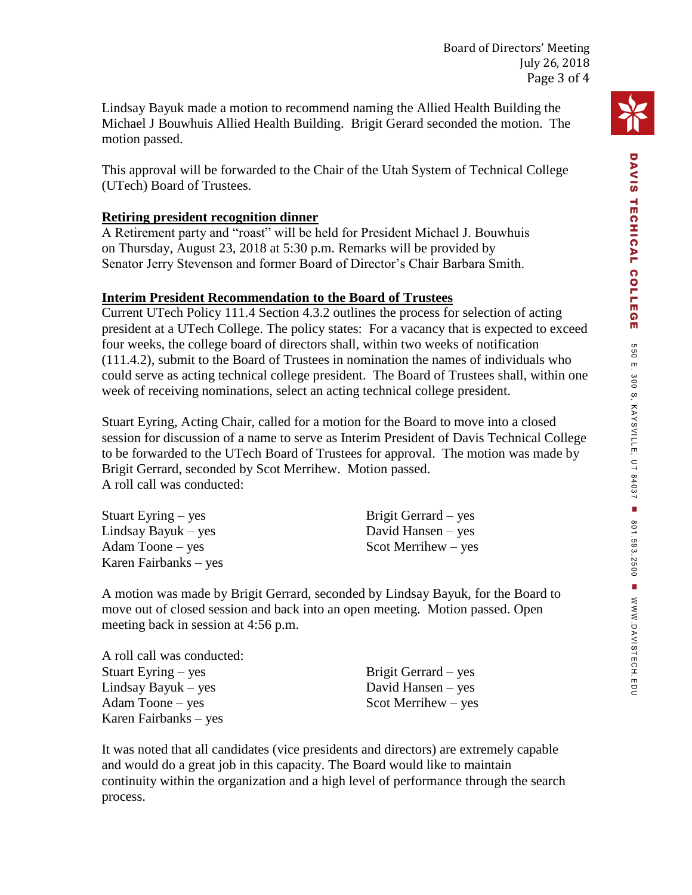Lindsay Bayuk made a motion to recommend naming the Allied Health Building the Michael J Bouwhuis Allied Health Building. Brigit Gerard seconded the motion. The motion passed.

This approval will be forwarded to the Chair of the Utah System of Technical College (UTech) Board of Trustees.

## **Retiring president recognition dinner**

A Retirement party and "roast" will be held for President Michael J. Bouwhuis on Thursday, August 23, 2018 at 5:30 p.m. Remarks will be provided by Senator Jerry Stevenson and former Board of Director's Chair Barbara Smith.

## **Interim President Recommendation to the Board of Trustees**

Current UTech Policy 111.4 Section 4.3.2 outlines the process for selection of acting president at a UTech College. The policy states: For a vacancy that is expected to exceed four weeks, the college board of directors shall, within two weeks of notification (111.4.2), submit to the Board of Trustees in nomination the names of individuals who could serve as acting technical college president. The Board of Trustees shall, within one week of receiving nominations, select an acting technical college president.

Stuart Eyring, Acting Chair, called for a motion for the Board to move into a closed session for discussion of a name to serve as Interim President of Davis Technical College to be forwarded to the UTech Board of Trustees for approval. The motion was made by Brigit Gerrard, seconded by Scot Merrihew. Motion passed. A roll call was conducted:

Stuart Eyring – yes Lindsay Bayuk – yes Adam Toone – yes Karen Fairbanks – yes Brigit Gerrard – yes David Hansen – yes Scot Merrihew – yes

A motion was made by Brigit Gerrard, seconded by Lindsay Bayuk, for the Board to move out of closed session and back into an open meeting. Motion passed. Open meeting back in session at 4:56 p.m.

A roll call was conducted: Stuart Eyring – yes Lindsay Bayuk – yes Adam Toone – yes Karen Fairbanks – yes

Brigit Gerrard – yes David Hansen – yes Scot Merrihew – yes

It was noted that all candidates (vice presidents and directors) are extremely capable and would do a great job in this capacity. The Board would like to maintain continuity within the organization and a high level of performance through the search process.